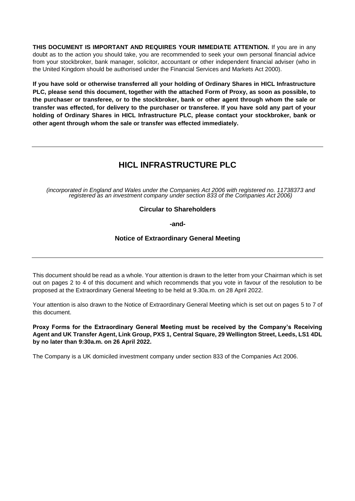**THIS DOCUMENT IS IMPORTANT AND REQUIRES YOUR IMMEDIATE ATTENTION.** If you are in any doubt as to the action you should take, you are recommended to seek your own personal financial advice from your stockbroker, bank manager, solicitor, accountant or other independent financial adviser (who in the United Kingdom should be authorised under the Financial Services and Markets Act 2000).

**If you have sold or otherwise transferred all your holding of Ordinary Shares in HICL Infrastructure PLC, please send this document, together with the attached Form of Proxy, as soon as possible, to the purchaser or transferee, or to the stockbroker, bank or other agent through whom the sale or transfer was effected, for delivery to the purchaser or transferee. If you have sold any part of your holding of Ordinary Shares in HICL Infrastructure PLC, please contact your stockbroker, bank or other agent through whom the sale or transfer was effected immediately.**

# **HICL INFRASTRUCTURE PLC**

*(incorporated in England and Wales under the Companies Act 2006 with registered no. 11738373 and registered as an investment company under section 833 of the Companies Act 2006)*

**Circular to Shareholders**

**-and-**

**Notice of Extraordinary General Meeting**

This document should be read as a whole. Your attention is drawn to the letter from your Chairman which is set out on pages 2 to 4 of this document and which recommends that you vote in favour of the resolution to be proposed at the Extraordinary General Meeting to be held at 9.30a.m. on 28 April 2022.

Your attention is also drawn to the Notice of Extraordinary General Meeting which is set out on pages 5 to 7 of this document.

**Proxy Forms for the Extraordinary General Meeting must be received by the Company's Receiving Agent and UK Transfer Agent, Link Group, PXS 1, Central Square, 29 Wellington Street, Leeds, LS1 4DL by no later than 9:30a.m. on 26 April 2022.**

The Company is a UK domiciled investment company under section 833 of the Companies Act 2006.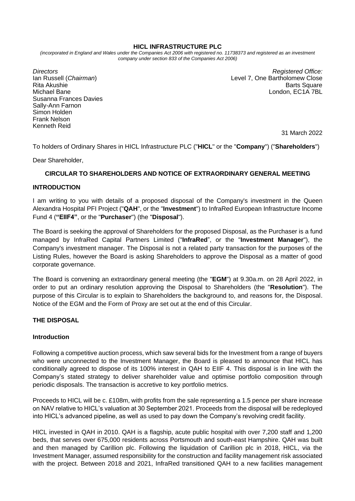## **HICL INFRASTRUCTURE PLC**

*(incorporated in England and Wales under the Companies Act 2006 with registered no. 11738373 and registered as an investment company under section 833 of the Companies Act 2006)*

Susanna Frances Davies Sally-Ann Farnon Simon Holden Frank Nelson Kenneth Reid

*Directors Registered Office:* Ian Russell (*Chairman*) **Level 7, One Bartholomew Close Level 7**, One Bartholomew Close Rita Akushie Barts Square London, EC1A 7BL

31 March 2022

To holders of Ordinary Shares in HICL Infrastructure PLC ("**HICL**" or the "**Company**") ("**Shareholders**")

Dear Shareholder,

## **CIRCULAR TO SHAREHOLDERS AND NOTICE OF EXTRAORDINARY GENERAL MEETING**

## **INTRODUCTION**

I am writing to you with details of a proposed disposal of the Company's investment in the Queen Alexandra Hospital PFI Project ("**QAH**", or the "**Investment**") to InfraRed European Infrastructure Income Fund 4 (**"EIIF4"**, or the "**Purchaser**") (the "**Disposal**").

The Board is seeking the approval of Shareholders for the proposed Disposal, as the Purchaser is a fund managed by InfraRed Capital Partners Limited ("**InfraRed**", or the "**Investment Manager**"), the Company's investment manager. The Disposal is not a related party transaction for the purposes of the Listing Rules, however the Board is asking Shareholders to approve the Disposal as a matter of good corporate governance.

The Board is convening an extraordinary general meeting (the "**EGM**") at 9.30a.m. on 28 April 2022, in order to put an ordinary resolution approving the Disposal to Shareholders (the "**Resolution**"). The purpose of this Circular is to explain to Shareholders the background to, and reasons for, the Disposal. Notice of the EGM and the Form of Proxy are set out at the end of this Circular.

## **THE DISPOSAL**

## **Introduction**

Following a competitive auction process, which saw several bids for the Investment from a range of buyers who were unconnected to the Investment Manager, the Board is pleased to announce that HICL has conditionally agreed to dispose of its 100% interest in QAH to EIIF 4. This disposal is in line with the Company's stated strategy to deliver shareholder value and optimise portfolio composition through periodic disposals. The transaction is accretive to key portfolio metrics.

Proceeds to HICL will be c. £108m, with profits from the sale representing a 1.5 pence per share increase on NAV relative to HICL's valuation at 30 September 2021. Proceeds from the disposal will be redeployed into HICL's advanced pipeline, as well as used to pay down the Company's revolving credit facility.

HICL invested in QAH in 2010. QAH is a flagship, acute public hospital with over 7,200 staff and 1,200 beds, that serves over 675,000 residents across Portsmouth and south-east Hampshire. QAH was built and then managed by Carillion plc. Following the liquidation of Carillion plc in 2018, HICL, via the Investment Manager, assumed responsibility for the construction and facility management risk associated with the project. Between 2018 and 2021, InfraRed transitioned QAH to a new facilities management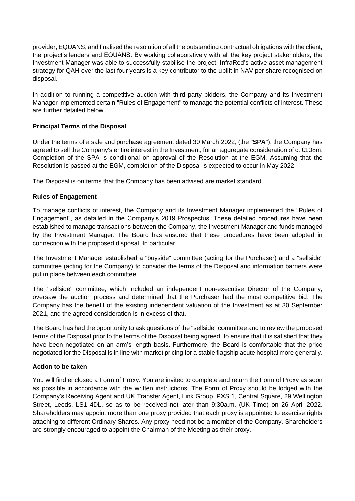provider, EQUANS, and finalised the resolution of all the outstanding contractual obligations with the client, the project's lenders and EQUANS. By working collaboratively with all the key project stakeholders, the Investment Manager was able to successfully stabilise the project. InfraRed's active asset management strategy for QAH over the last four years is a key contributor to the uplift in NAV per share recognised on disposal.

In addition to running a competitive auction with third party bidders, the Company and its Investment Manager implemented certain "Rules of Engagement" to manage the potential conflicts of interest. These are further detailed below.

## **Principal Terms of the Disposal**

Under the terms of a sale and purchase agreement dated 30 March 2022, (the "**SPA**"), the Company has agreed to sell the Company's entire interest in the Investment, for an aggregate consideration of c. £108m. Completion of the SPA is conditional on approval of the Resolution at the EGM. Assuming that the Resolution is passed at the EGM, completion of the Disposal is expected to occur in May 2022.

The Disposal is on terms that the Company has been advised are market standard.

## **Rules of Engagement**

To manage conflicts of interest, the Company and its Investment Manager implemented the "Rules of Engagement", as detailed in the Company's 2019 Prospectus. These detailed procedures have been established to manage transactions between the Company, the Investment Manager and funds managed by the Investment Manager. The Board has ensured that these procedures have been adopted in connection with the proposed disposal. In particular:

The Investment Manager established a "buyside" committee (acting for the Purchaser) and a "sellside" committee (acting for the Company) to consider the terms of the Disposal and information barriers were put in place between each committee.

The "sellside" committee, which included an independent non-executive Director of the Company, oversaw the auction process and determined that the Purchaser had the most competitive bid. The Company has the benefit of the existing independent valuation of the Investment as at 30 September 2021, and the agreed consideration is in excess of that.

The Board has had the opportunity to ask questions of the "sellside" committee and to review the proposed terms of the Disposal prior to the terms of the Disposal being agreed, to ensure that it is satisfied that they have been negotiated on an arm's length basis. Furthermore, the Board is comfortable that the price negotiated for the Disposal is in line with market pricing for a stable flagship acute hospital more generally.

## **Action to be taken**

You will find enclosed a Form of Proxy. You are invited to complete and return the Form of Proxy as soon as possible in accordance with the written instructions. The Form of Proxy should be lodged with the Company's Receiving Agent and UK Transfer Agent, Link Group, PXS 1, Central Square, 29 Wellington Street, Leeds, LS1 4DL, so as to be received not later than 9:30a.m. (UK Time) on 26 April 2022. Shareholders may appoint more than one proxy provided that each proxy is appointed to exercise rights attaching to different Ordinary Shares. Any proxy need not be a member of the Company. Shareholders are strongly encouraged to appoint the Chairman of the Meeting as their proxy.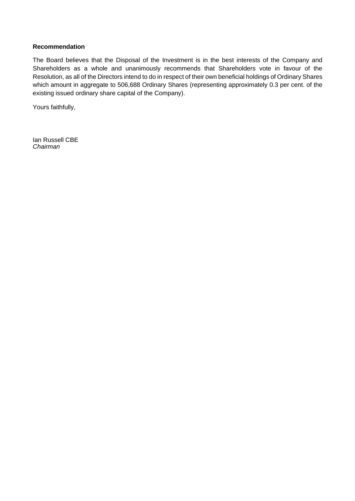## **Recommendation**

The Board believes that the Disposal of the Investment is in the best interests of the Company and Shareholders as a whole and unanimously recommends that Shareholders vote in favour of the Resolution, as all of the Directors intend to do in respect of their own beneficial holdings of Ordinary Shares which amount in aggregate to 506,688 Ordinary Shares (representing approximately 0.3 per cent. of the existing issued ordinary share capital of the Company).

Yours faithfully,

Ian Russell CBE *Chairman*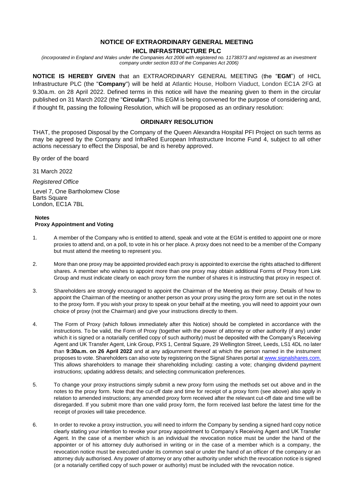## **NOTICE OF EXTRAORDINARY GENERAL MEETING**

#### **HICL INFRASTRUCTURE PLC**

*(incorporated in England and Wales under the Companies Act 2006 with registered no. 11738373 and registered as an investment company under section 833 of the Companies Act 2006)*

**NOTICE IS HEREBY GIVEN** that an EXTRAORDINARY GENERAL MEETING (the "**EGM**") of HICL Infrastructure PLC (the "**Company**") will be held at Atlantic House, Holborn Viaduct, London EC1A 2FG at 9.30a.m. on 28 April 2022. Defined terms in this notice will have the meaning given to them in the circular published on 31 March 2022 (the "**Circular**"). This EGM is being convened for the purpose of considering and, if thought fit, passing the following Resolution, which will be proposed as an ordinary resolution:

#### **ORDINARY RESOLUTION**

THAT, the proposed Disposal by the Company of the Queen Alexandra Hospital PFI Project on such terms as may be agreed by the Company and InfraRed European Infrastructure Income Fund 4, subject to all other actions necessary to effect the Disposal, be and is hereby approved.

By order of the board

31 March 2022

*Registered Office*

Level 7, One Bartholomew Close Barts Square London, EC1A 7BL

#### **Notes Proxy Appointment and Voting**

- 1. A member of the Company who is entitled to attend, speak and vote at the EGM is entitled to appoint one or more proxies to attend and, on a poll, to vote in his or her place. A proxy does not need to be a member of the Company but must attend the meeting to represent you.
- 2. More than one proxy may be appointed provided each proxy is appointed to exercise the rights attached to different shares. A member who wishes to appoint more than one proxy may obtain additional Forms of Proxy from Link Group and must indicate clearly on each proxy form the number of shares it is instructing that proxy in respect of.
- 3. Shareholders are strongly encouraged to appoint the Chairman of the Meeting as their proxy. Details of how to appoint the Chairman of the meeting or another person as your proxy using the proxy form are set out in the notes to the proxy form. If you wish your proxy to speak on your behalf at the meeting, you will need to appoint your own choice of proxy (not the Chairman) and give your instructions directly to them.
- 4. The Form of Proxy (which follows immediately after this Notice) should be completed in accordance with the instructions. To be valid, the Form of Proxy (together with the power of attorney or other authority (if any) under which it is signed or a notarially certified copy of such authority) must be deposited with the Company's Receiving Agent and UK Transfer Agent, Link Group, PXS 1, Central Square, 29 Wellington Street, Leeds, LS1 4DL no later than **9:30a.m. on 26 April 2022** and at any adjournment thereof at which the person named in the instrument proposes to vote. Shareholders can also vote by registering on the Signal Shares portal at [www.signalshares.com.](http://www.signalshares.com/) This allows shareholders to manage their shareholding including: casting a vote; changing dividend payment instructions; updating address details; and selecting communication preferences.
- 5. To change your proxy instructions simply submit a new proxy form using the methods set out above and in the notes to the proxy form. Note that the cut-off date and time for receipt of a proxy form (see above) also apply in relation to amended instructions; any amended proxy form received after the relevant cut-off date and time will be disregarded. If you submit more than one valid proxy form, the form received last before the latest time for the receipt of proxies will take precedence.
- 6. In order to revoke a proxy instruction, you will need to inform the Company by sending a signed hard copy notice clearly stating your intention to revoke your proxy appointment to Company's Receiving Agent and UK Transfer Agent. In the case of a member which is an individual the revocation notice must be under the hand of the appointer or of his attorney duly authorised in writing or in the case of a member which is a company, the revocation notice must be executed under its common seal or under the hand of an officer of the company or an attorney duly authorised. Any power of attorney or any other authority under which the revocation notice is signed (or a notarially certified copy of such power or authority) must be included with the revocation notice.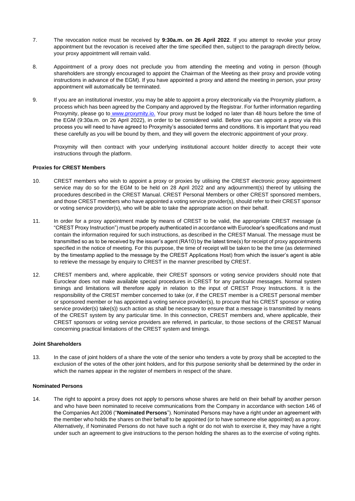- 7. The revocation notice must be received by **9:30a.m. on 26 April 2022**. If you attempt to revoke your proxy appointment but the revocation is received after the time specified then, subject to the paragraph directly below, your proxy appointment will remain valid.
- 8. Appointment of a proxy does not preclude you from attending the meeting and voting in person (though shareholders are strongly encouraged to appoint the Chairman of the Meeting as their proxy and provide voting instructions in advance of the EGM). If you have appointed a proxy and attend the meeting in person, your proxy appointment will automatically be terminated.
- 9. If you are an institutional investor, you may be able to appoint a proxy electronically via the Proxymity platform, a process which has been agreed by the Company and approved by the Registrar. For further information regarding Proxymity, please go to [www.proxymity.io.](http://www.proxymity.io/) Your proxy must be lodged no later than 48 hours before the time of the EGM (9:30a.m. on 26 April 2022), in order to be considered valid. Before you can appoint a proxy via this process you will need to have agreed to Proxymity's associated terms and conditions. It is important that you read these carefully as you will be bound by them, and they will govern the electronic appointment of your proxy.

Proxymity will then contract with your underlying institutional account holder directly to accept their vote instructions through the platform.

#### **Proxies for CREST Members**

- 10. CREST members who wish to appoint a proxy or proxies by utilising the CREST electronic proxy appointment service may do so for the EGM to be held on 28 April 2022 and any adjournment(s) thereof by utilising the procedures described in the CREST Manual. CREST Personal Members or other CREST sponsored members, and those CREST members who have appointed a voting service provider(s), should refer to their CREST sponsor or voting service provider(s), who will be able to take the appropriate action on their behalf.
- 11. In order for a proxy appointment made by means of CREST to be valid, the appropriate CREST message (a "CREST Proxy Instruction") must be properly authenticated in accordance with Euroclear's specifications and must contain the information required for such instructions, as described in the CREST Manual. The message must be transmitted so as to be received by the issuer's agent (RA10) by the latest time(s) for receipt of proxy appointments specified in the notice of meeting. For this purpose, the time of receipt will be taken to be the time (as determined by the timestamp applied to the message by the CREST Applications Host) from which the issuer's agent is able to retrieve the message by enquiry to CREST in the manner prescribed by CREST.
- 12. CREST members and, where applicable, their CREST sponsors or voting service providers should note that Euroclear does not make available special procedures in CREST for any particular messages. Normal system timings and limitations will therefore apply in relation to the input of CREST Proxy Instructions. It is the responsibility of the CREST member concerned to take (or, if the CREST member is a CREST personal member or sponsored member or has appointed a voting service provider(s), to procure that his CREST sponsor or voting service provider(s) take(s)) such action as shall be necessary to ensure that a message is transmitted by means of the CREST system by any particular time. In this connection, CREST members and, where applicable, their CREST sponsors or voting service providers are referred, in particular, to those sections of the CREST Manual concerning practical limitations of the CREST system and timings.

#### **Joint Shareholders**

13. In the case of joint holders of a share the vote of the senior who tenders a vote by proxy shall be accepted to the exclusion of the votes of the other joint holders, and for this purpose seniority shall be determined by the order in which the names appear in the register of members in respect of the share.

#### **Nominated Persons**

14. The right to appoint a proxy does not apply to persons whose shares are held on their behalf by another person and who have been nominated to receive communications from the Company in accordance with section 146 of the Companies Act 2006 ("**Nominated Persons**"). Nominated Persons may have a right under an agreement with the member who holds the shares on their behalf to be appointed (or to have someone else appointed) as a proxy. Alternatively, if Nominated Persons do not have such a right or do not wish to exercise it, they may have a right under such an agreement to give instructions to the person holding the shares as to the exercise of voting rights.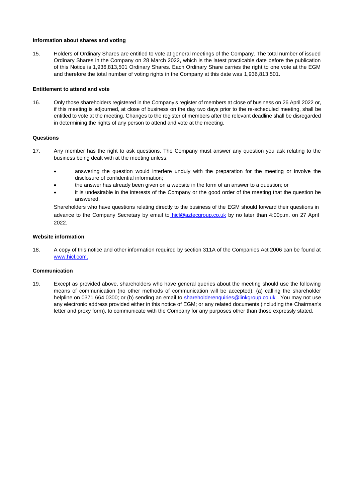#### **Information about shares and voting**

15. Holders of Ordinary Shares are entitled to vote at general meetings of the Company. The total number of issued Ordinary Shares in the Company on 28 March 2022, which is the latest practicable date before the publication of this Notice is 1,936,813,501 Ordinary Shares. Each Ordinary Share carries the right to one vote at the EGM and therefore the total number of voting rights in the Company at this date was 1,936,813,501.

#### **Entitlement to attend and vote**

16. Only those shareholders registered in the Company's register of members at close of business on 26 April 2022 or, if this meeting is adjourned, at close of business on the day two days prior to the re-scheduled meeting, shall be entitled to vote at the meeting. Changes to the register of members after the relevant deadline shall be disregarded in determining the rights of any person to attend and vote at the meeting.

#### **Questions**

- 17. Any member has the right to ask questions. The Company must answer any question you ask relating to the business being dealt with at the meeting unless:
	- answering the question would interfere unduly with the preparation for the meeting or involve the disclosure of confidential information;
	- the answer has already been given on a website in the form of an answer to a question; or
	- it is undesirable in the interests of the Company or the good order of the meeting that the question be answered.

Shareholders who have questions relating directly to the business of the EGM should forward their questions in advance to the Company Secretary by email to [hicl@aztecgroup.co.uk](mailto:hicl@aztecgroup.co.uk) by no later than 4:00p.m. on 27 April 2022.

#### **Website information**

18. A copy of this notice and other information required by section 311A of the Companies Act 2006 can be found a[t](http://www.hicl.com/) www.hicl.com.

#### **Communication**

19. Except as provided above, shareholders who have general queries about the meeting should use the following means of communication (no other methods of communication will be accepted): (a) calling the shareholder helpline on 0371 664 0300; or (b) sending an email to [shareholderenquiries@linkgroup.co.uk](mailto:shareholderenquiries@linkgroup.co.uk). You may not use any electronic address provided either in this notice of EGM; or any related documents (including the Chairman's letter and proxy form), to communicate with the Company for any purposes other than those expressly stated.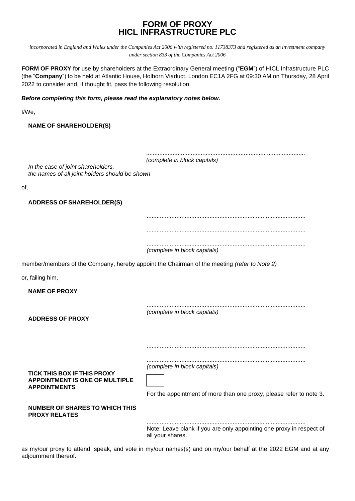# **FORM OF PROXY HICL INFRASTRUCTURE PLC**

*incorporated in England and Wales under the Companies Act 2006 with registered no. 11738373 and registered as an investment company under section 833 of the Companies Act 2006*

**FORM OF PROXY** for use by shareholders at the Extraordinary General meeting ("**EGM**") of HICL Infrastructure PLC (the "**Company**") to be held at Atlantic House, Holborn Viaduct, London EC1A 2FG at 09:30 AM on Thursday, 28 April 2022 to consider and, if thought fit, pass the following resolution.

### *Before completing this form, please read the explanatory notes below.*

I/We,

## **NAME OF SHAREHOLDER(S)**

................................................................................................ *(complete in block capitals)*

*In the case of joint shareholders, the names of all joint holders should be shown*

of,

## **ADDRESS OF SHAREHOLDER(S)**

................................................................................................

................................................................................................

## ................................................................................................

*(complete in block capitals)*

member/members of the Company, hereby appoint the Chairman of the meeting *(refer to Note 2)* 

or, failing him,

## **NAME OF PROXY**

| <b>ADDRESS OF PROXY</b>                                                                            | (complete in block capitals)                                                                        |  |
|----------------------------------------------------------------------------------------------------|-----------------------------------------------------------------------------------------------------|--|
|                                                                                                    |                                                                                                     |  |
|                                                                                                    |                                                                                                     |  |
| <b>TICK THIS BOX IF THIS PROXY</b><br><b>APPOINTMENT IS ONE OF MULTIPLE</b><br><b>APPOINTMENTS</b> | (complete in block capitals)<br>For the appointment of more than one proxy, please refer to note 3. |  |
| <b>NUMBER OF SHARES TO WHICH THIS</b><br><b>PROXY RELATES</b>                                      |                                                                                                     |  |
|                                                                                                    | Note: Leave blank if you are only appointing one proxy in respect of<br>all your shares.            |  |

as my/our proxy to attend, speak, and vote in my/our names(s) and on my/our behalf at the 2022 EGM and at any adjournment thereof.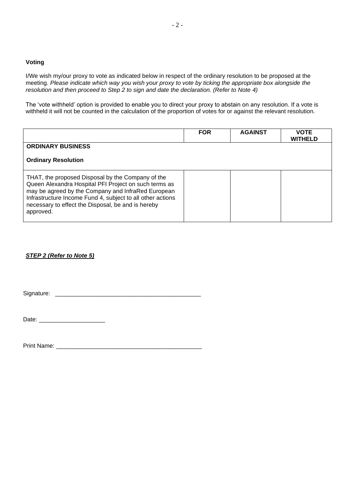## **Voting**

I/We wish my/our proxy to vote as indicated below in respect of the ordinary resolution to be proposed at the meeting. *Please indicate which way you wish your proxy to vote by ticking the appropriate box alongside the resolution and then proceed to Step 2 to sign and date the declaration. (Refer to Note 4)*

The 'vote withheld' option is provided to enable you to direct your proxy to abstain on any resolution. If a vote is withheld it will not be counted in the calculation of the proportion of votes for or against the relevant resolution.

|                                                                                                                                                                                                                                                                                                   | <b>FOR</b> | <b>AGAINST</b> | <b>VOTE</b><br><b>WITHELD</b> |
|---------------------------------------------------------------------------------------------------------------------------------------------------------------------------------------------------------------------------------------------------------------------------------------------------|------------|----------------|-------------------------------|
| <b>ORDINARY BUSINESS</b>                                                                                                                                                                                                                                                                          |            |                |                               |
| <b>Ordinary Resolution</b>                                                                                                                                                                                                                                                                        |            |                |                               |
| THAT, the proposed Disposal by the Company of the<br>Queen Alexandra Hospital PFI Project on such terms as<br>may be agreed by the Company and InfraRed European<br>Infrastructure Income Fund 4, subject to all other actions<br>necessary to effect the Disposal, be and is hereby<br>approved. |            |                |                               |

## *STEP 2 (Refer to Note 5)*

Signature: \_\_\_\_\_\_\_\_\_\_\_\_\_\_\_\_\_\_\_\_\_\_\_\_\_\_\_\_\_\_\_\_\_\_\_\_\_\_\_\_\_\_\_\_

Date: \_\_\_\_\_\_\_\_\_\_\_\_\_\_\_\_\_\_\_\_

Print Name: \_\_\_\_\_\_\_\_\_\_\_\_\_\_\_\_\_\_\_\_\_\_\_\_\_\_\_\_\_\_\_\_\_\_\_\_\_\_\_\_\_\_\_\_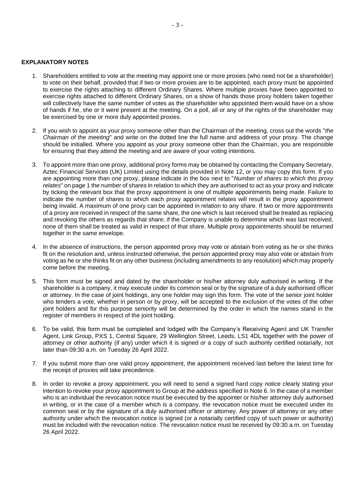#### **EXPLANATORY NOTES**

- 1. Shareholders entitled to vote at the meeting may appoint one or more proxies (who need not be a shareholder) to vote on their behalf, provided that if two or more proxies are to be appointed, each proxy must be appointed to exercise the rights attaching to different Ordinary Shares. Where multiple proxies have been appointed to exercise rights attached to different Ordinary Shares, on a show of hands those proxy holders taken together will collectively have the same number of votes as the shareholder who appointed them would have on a show of hands if he, she or it were present at the meeting. On a poll, all or any of the rights of the shareholder may be exercised by one or more duly appointed proxies.
- 2. If you wish to appoint as your proxy someone other than the Chairman of the meeting, cross out the words "*the Chairman of the meeting*" and write on the dotted line the full name and address of your proxy. The change should be initialled. Where you appoint as your proxy someone other than the Chairman, you are responsible for ensuring that they attend the meeting and are aware of your voting intentions.
- 3. To appoint more than one proxy, additional proxy forms may be obtained by contacting the Company Secretary, Aztec Financial Services (UK) Limited using the details provided in Note 12, or you may copy this form. If you are appointing more than one proxy, please indicate in the box next to "*Number of shares to which this proxy relates*" on page 1 the number of shares in relation to which they are authorised to act as your proxy and indicate by ticking the relevant box that the proxy appointment is one of multiple appointments being made. Failure to indicate the number of shares to which each proxy appointment relates will result in the proxy appointment being invalid. A maximum of one proxy can be appointed in relation to any share. If two or more appointments of a proxy are received in respect of the same share, the one which is last received shall be treated as replacing and revoking the others as regards that share; if the Company is unable to determine which was last received, none of them shall be treated as valid in respect of that share. Multiple proxy appointments should be returned together in the same envelope.
- 4. In the absence of instructions, the person appointed proxy may vote or abstain from voting as he or she thinks fit on the resolution and, unless instructed otherwise, the person appointed proxy may also vote or abstain from voting as he or she thinks fit on any other business (including amendments to any resolution) which may properly come before the meeting.
- 5. This form must be signed and dated by the shareholder or his/her attorney duly authorised in writing. If the shareholder is a company, it may execute under its common seal or by the signature of a duly authorised officer or attorney. In the case of joint holdings, any one holder may sign this form. The vote of the senior joint holder who tenders a vote, whether in person or by proxy, will be accepted to the exclusion of the votes of the other joint holders and for this purpose seniority will be determined by the order in which the names stand in the register of members in respect of the joint holding.
- 6. To be valid, this form must be completed and lodged with the Company's Receiving Agent and UK Transfer Agent, Link Group, PXS 1, Central Square, 29 Wellington Street, Leeds, LS1 4DL together with the power of attorney or other authority (if any) under which it is signed or a copy of such authority certified notarially, not later than 09:30 a.m. on Tuesday 26 April 2022.
- 7. If you submit more than one valid proxy appointment, the appointment received last before the latest time for the receipt of proxies will take precedence.
- 8. In order to revoke a proxy appointment, you will need to send a signed hard copy notice clearly stating your intention to revoke your proxy appointment to Group at the address specified in Note 6. In the case of a member who is an individual the revocation notice must be executed by the appointer or his/her attorney duly authorised in writing, or in the case of a member which is a company, the revocation notice must be executed under its common seal or by the signature of a duly authorised officer or attorney. Any power of attorney or any other authority under which the revocation notice is signed (or a notarially certified copy of such power or authority) must be included with the revocation notice. The revocation notice must be received by 09:30 a.m. on Tuesday 26 April 2022.